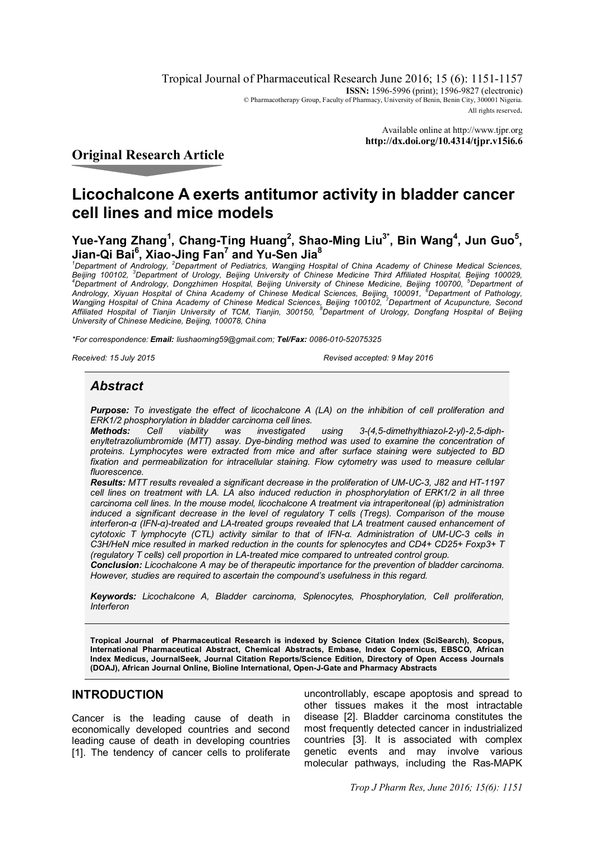Tropical Journal of Pharmaceutical Research June 2016; 15 (6): 1151-1157 **ISSN:** 1596-5996 (print); 1596-9827 (electronic) © Pharmacotherapy Group, Faculty of Pharmacy, University of Benin, Benin City, 300001 Nigeria. All rights reserved.

> Available online at <http://www.tjpr.org> **<http://dx.doi.org/10.4314/tjpr.v15i6.6>**

# **Original Research Article**

# **Licochalcone A exerts antitumor activity in bladder cancer cell lines and mice models**

Yue-Yang Zhang<sup>1</sup>, Chang-Ting Huang<sup>2</sup>, Shao-Ming Liu<sup>3\*</sup>, Bin Wang<sup>4</sup>, Jun Guo<sup>5</sup>, **Jian-Qi Bai<sup>6</sup> , Xiao-Jing Fan<sup>7</sup> and Yu-Sen Jia<sup>8</sup>**

*<sup>1</sup>Department of Andrology, <sup>2</sup>Department of Pediatrics, Wangjing Hospital of China Academy of Chinese Medical Sciences, Beijing 100102, <sup>3</sup>Department of Urology, Beijing University of Chinese Medicine Third Affiliated Hospital, Beijing 100029,*  <sup>4</sup>*Department of Andrology, Dongzhimen Hospital, Beijing University of Chinese Medicine, Beijing 100700, <sup>5</sup>Department of Andrology, Xiyuan Hospital of China Academy of Chinese Medical Sciences, Beijing, 100091, <sup>6</sup>Department of Pathology, Wangjing Hospital of China Academy of Chinese Medical Sciences, Beijing 100102, <sup>7</sup>Department of Acupuncture, Second Affiliated Hospital of Tianjin University of TCM, Tianjin, 300150, <sup>8</sup>Department of Urology, Dongfang Hospital of Beijing University of Chinese Medicine, Beijing, 100078, China*

*\*For correspondence: Email: [liushaoming59@gmail.com;](mailto:liushaoming59@gmail.com;) Tel/Fax: 0086-010-52075325*

*Received: 15 July 2015 Revised accepted: 9 May 2016*

# *Abstract*

*Purpose: To investigate the effect of licochalcone A (LA) on the inhibition of cell proliferation and ERK1/2 phosphorylation in bladder carcinoma cell lines.*

*Methods: Cell viability was investigated using 3-(4,5-dimethylthiazol-2-yl)-2,5-diphenyltetrazoliumbromide (MTT) assay. Dye-binding method was used to examine the concentration of proteins. Lymphocytes were extracted from mice and after surface staining were subjected to BD fixation and permeabilization for intracellular staining. Flow cytometry was used to measure cellular fluorescence.*

*Results: MTT results revealed a significant decrease in the proliferation of UM-UC-3, J82 and HT-1197 cell lines on treatment with LA. LA also induced reduction in phosphorylation of ERK1/2 in all three carcinoma cell lines. In the mouse model, licochalcone A treatment via intraperitoneal (ip) administration induced a significant decrease in the level of regulatory T cells (Tregs). Comparison of the mouse interferon-α (IFN-α)-treated and LA-treated groups revealed that LA treatment caused enhancement of cytotoxic T lymphocyte (CTL) activity similar to that of IFN-α. Administration of UM-UC-3 cells in C3H/HeN mice resulted in marked reduction in the counts for splenocytes and CD4+ CD25+ Foxp3+ T (regulatory T cells) cell proportion in LA-treated mice compared to untreated control group.* 

*Conclusion: Licochalcone A may be of therapeutic importance for the prevention of bladder carcinoma. However, studies are required to ascertain the compound's usefulness in this regard.*

*Keywords: Licochalcone A, Bladder carcinoma, Splenocytes, Phosphorylation, Cell proliferation, Interferon*

**Tropical Journal of Pharmaceutical Research is indexed by Science Citation Index (SciSearch), Scopus, International Pharmaceutical Abstract, Chemical Abstracts, Embase, Index Copernicus, EBSCO, African Index Medicus, JournalSeek, Journal Citation Reports/Science Edition, Directory of Open Access Journals (DOAJ), African Journal Online, Bioline International, Open-J-Gate and Pharmacy Abstracts**

## **INTRODUCTION**

Cancer is the leading cause of death in economically developed countries and second leading cause of death in developing countries [1]. The tendency of cancer cells to proliferate

uncontrollably, escape apoptosis and spread to other tissues makes it the most intractable disease [2]. Bladder carcinoma constitutes the most frequently detected cancer in industrialized countries [3]. It is associated with complex genetic events and may involve various molecular pathways, including the Ras-MAPK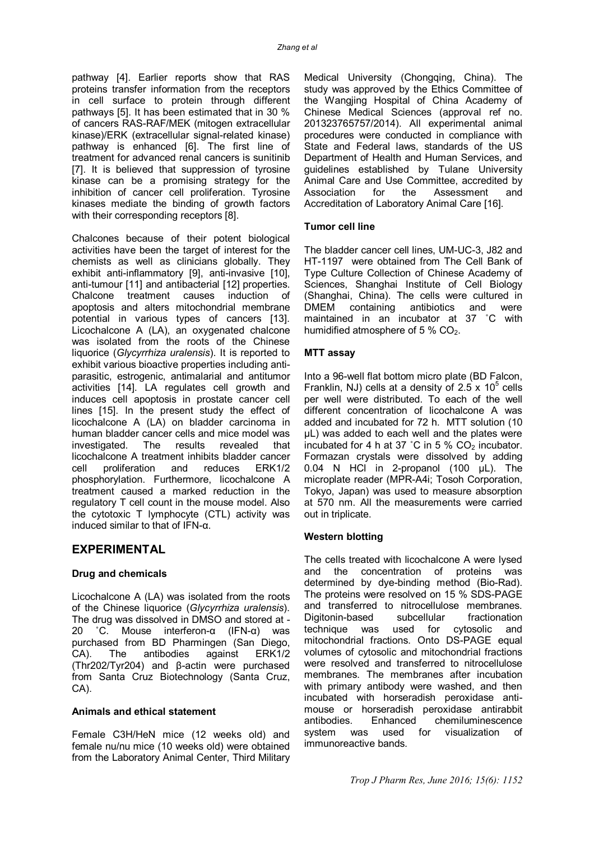pathway [4]. Earlier reports show that RAS proteins transfer information from the receptors in cell surface to protein through different pathways [5]. It has been estimated that in 30 % of cancers RAS-RAF/MEK (mitogen extracellular kinase)/ERK (extracellular signal-related kinase) pathway is enhanced [6]. The first line of treatment for advanced renal cancers is sunitinib [7]. It is believed that suppression of tyrosine kinase can be a promising strategy for the inhibition of cancer cell proliferation. Tyrosine kinases mediate the binding of growth factors with their corresponding receptors [8].

Chalcones because of their potent biological activities have been the target of interest for the chemists as well as clinicians globally. They exhibit anti-inflammatory [9], anti-invasive [10], anti-tumour [11] and antibacterial [12] properties. Chalcone treatment causes induction of apoptosis and alters mitochondrial membrane potential in various types of cancers [13]. Licochalcone A (LA), an oxygenated chalcone was isolated from the roots of the Chinese liquorice (*Glycyrrhiza uralensis*). It is reported to exhibit various bioactive properties including antiparasitic, estrogenic, antimalarial and antitumor activities [14]. LA regulates cell growth and induces cell apoptosis in prostate cancer cell lines [15]. In the present study the effect of licochalcone A (LA) on bladder carcinoma in human bladder cancer cells and mice model was investigated. The results revealed that licochalcone A treatment inhibits bladder cancer<br>cell proliferation and reduces ERK1/2 cell proliferation and reduces phosphorylation. Furthermore, licochalcone A treatment caused a marked reduction in the regulatory T cell count in the mouse model. Also the cytotoxic T lymphocyte (CTL) activity was induced similar to that of IFN-α.

## **EXPERIMENTAL**

#### **Drug and chemicals**

Licochalcone A (LA) was isolated from the roots of the Chinese liquorice (*Glycyrrhiza uralensis*). The drug was dissolved in DMSO and stored at -<br>20  $^{\circ}$ C. Mouse interferon- $\alpha$  (IFN- $\alpha$ ) was  $°C.$  Mouse interferon-α (IFN-α) was purchased from BD Pharmingen (San Diego, CA). The antibodies against ERK1/2 (Thr202/Tyr204) and β-actin were purchased from Santa Cruz Biotechnology (Santa Cruz, CA).

#### **Animals and ethical statement**

Female C3H/HeN mice (12 weeks old) and female nu/nu mice (10 weeks old) were obtained from the Laboratory Animal Center, Third Military

Medical University (Chongqing, China). The study was approved by the Ethics Committee of the Wangjing Hospital of China Academy of Chinese Medical Sciences (approval ref no. 201323765757/2014). All experimental animal procedures were conducted in compliance with State and Federal laws, standards of the US Department of Health and Human Services, and guidelines established by Tulane University Animal Care and Use Committee, accredited by Association for the Assessment and Accreditation of Laboratory Animal Care [16].

#### **Tumor cell line**

The bladder cancer cell lines, UM-UC-3, J82 and HT-1197 were obtained from The Cell Bank of Type Culture Collection of Chinese Academy of Sciences, Shanghai Institute of Cell Biology (Shanghai, China). The cells were cultured in DMEM containing antibiotics and were maintained in an incubator at 37 ˚C with humidified atmosphere of 5 %  $CO<sub>2</sub>$ .

#### **MTT assay**

Into a 96-well flat bottom micro plate (BD Falcon, Franklin, NJ) cells at a density of 2.5  $\times$  10<sup>5</sup> cells per well were distributed. To each of the well different concentration of licochalcone A was added and incubated for 72 h. MTT solution (10 μL) was added to each well and the plates were incubated for 4 h at 37  $^{\circ}$ C in 5 % CO<sub>2</sub> incubator. Formazan crystals were dissolved by adding 0.04 N HCl in 2-propanol (100 μL). The microplate reader (MPR-A4i; Tosoh Corporation, Tokyo, Japan) was used to measure absorption at 570 nm. All the measurements were carried out in triplicate.

#### **Western blotting**

The cells treated with licochalcone A were lysed and the concentration of proteins was determined by dye-binding method (Bio-Rad). The proteins were resolved on 15 % SDS-PAGE and transferred to nitrocellulose membranes. Digitonin-based subcellular fractionation technique was used for cytosolic and mitochondrial fractions. Onto DS-PAGE equal volumes of cytosolic and mitochondrial fractions were resolved and transferred to nitrocellulose membranes. The membranes after incubation with primary antibody were washed, and then incubated with horseradish peroxidase antimouse or horseradish peroxidase antirabbit antibodies. Enhanced chemiluminescence system was used for visualization of immunoreactive bands.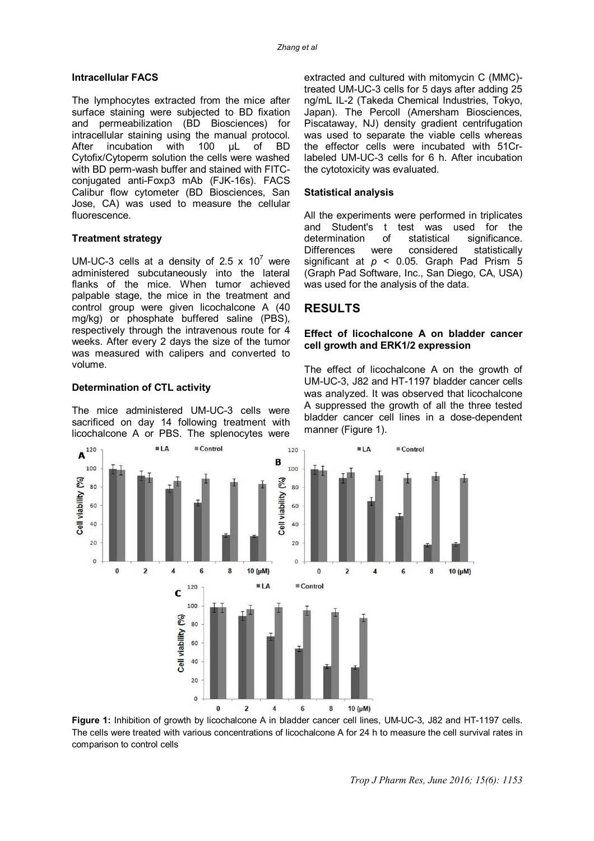#### **Intracellular FACS**

The lymphocytes extracted from the mice after surface staining were subjected to BD fixation and permeabilization (BD Biosciences) for intracellular staining using the manual protocol.<br>After incubation with 100 µL of BD incubation Cytofix/Cytoperm solution the cells were washed with BD perm-wash buffer and stained with FITCconjugated anti-Foxp3 mAb (FJK-16s). FACS Calibur flow cytometer (BD Biosciences, San Jose, CA) was used to measure the cellular fluorescence.

#### **Treatment strategy**

UM-UC-3 cells at a density of 2.5  $\times$  10<sup> $\prime$ </sup> were administered subcutaneously into the lateral flanks of the mice. When tumor achieved palpable stage, the mice in the treatment and control group were given licochalcone A (40 mg/kg) or phosphate buffered saline (PBS), respectively through the intravenous route for 4 weeks. After every 2 days the size of the tumor was measured with calipers and converted to volume.

#### **Determination of CTL activity**

The mice administered UM-UC-3 cells were sacrificed on day 14 following treatment with licochalcone A or PBS. The splenocytes were

extracted and cultured with mitomycin C (MMC) treated UM-UC-3 cells for 5 days after adding 25 ng/mL IL-2 (Takeda Chemical Industries, Tokyo, Japan). The Percoll (Amersham Biosciences, Piscataway, NJ) density gradient centrifugation was used to separate the viable cells whereas the effector cells were incubated with 51Crlabeled UM-UC-3 cells for 6 h. After incubation the cytotoxicity was evaluated.

#### **Statistical analysis**

All the experiments were performed in triplicates and Student's t test was used for the determination of statistical significance.<br>Differences were considered statistically Differences were considered statistically significant at *p* < 0.05. Graph Pad Prism 5 (Graph Pad Software, Inc., San Diego, CA, USA) was used for the analysis of the data.

# **RESULTS**

#### **Effect of licochalcone A on bladder cancer cell growth and ERK1/2 expression**

The effect of licochalcone A on the growth of UM-UC-3, J82 and HT-1197 bladder cancer cells was analyzed. It was observed that licochalcone A suppressed the growth of all the three tested bladder cancer cell lines in a dose-dependent manner (Figure 1).



**Figure 1:** Inhibition of growth by licochalcone A in bladder cancer cell lines, UM-UC-3, J82 and HT-1197 cells. The cells were treated with various concentrations of licochalcone A for 24 h to measure the cell survival rates in comparison to control cells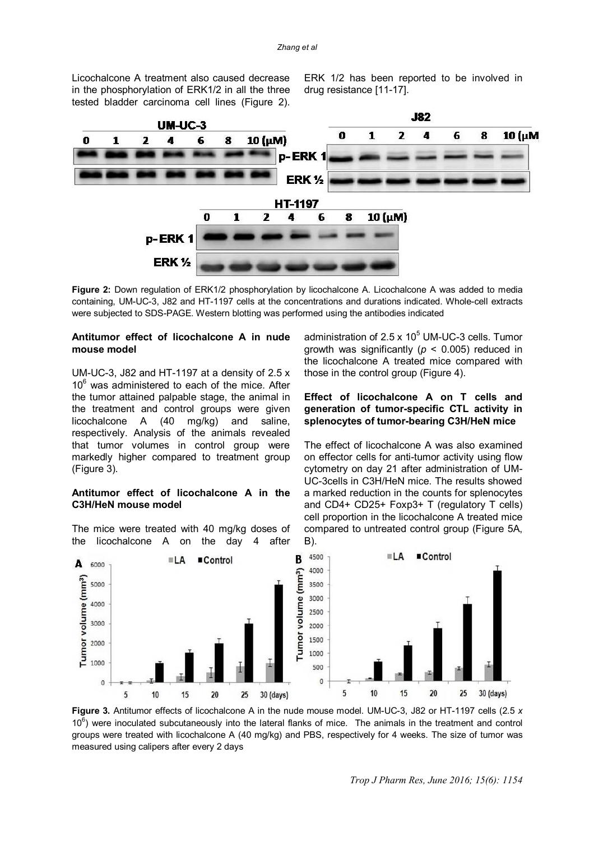Licochalcone A treatment also caused decrease in the phosphorylation of ERK1/2 in all the three tested bladder carcinoma cell lines (Figure 2).

ERK 1/2 has been reported to be involved in drug resistance [11-17].



Figure 2: Down regulation of ERK1/2 phosphorylation by licochalcone A. Licochalcone A was added to media containing, UM-UC-3, J82 and HT-1197 cells at the concentrations and durations indicated. Whole-cell extracts were subjected to SDS*-*PAGE. Western blotting was performed using the antibodies indicated

#### **Antitumor effect of licochalcone A in nude mouse model**

UM-UC-3, J82 and HT-1197 at a density of 2.5 x  $10<sup>6</sup>$  was administered to each of the mice. After the tumor attained palpable stage, the animal in the treatment and control groups were given licochalcone A (40 mg/kg) and saline, respectively. Analysis of the animals revealed that tumor volumes in control group were markedly higher compared to treatment group (Figure 3).

#### **Antitumor effect of licochalcone A in the C3H/HeN mouse model**

The mice were treated with 40 mg/kg doses of the licochalcone A on the day 4 after

administration of  $2.5 \times 10^5$  UM-UC-3 cells. Tumor growth was significantly (*p* < 0.005) reduced in the licochalcone A treated mice compared with those in the control group (Figure 4).

#### **Effect of licochalcone A on T cells and generation of tumor-specific CTL activity in splenocytes of tumor-bearing C3H/HeN mice**

The effect of licochalcone A was also examined on effector cells for anti-tumor activity using flow cytometry on day 21 after administration of UM-UC-3cells in C3H/HeN mice. The results showed a marked reduction in the counts for splenocytes and CD4+ CD25+ Foxp3+ T (regulatory T cells) cell proportion in the licochalcone A treated mice compared to untreated control group (Figure 5A, B).



**Figure 3.** Antitumor effects of licochalcone A in the nude mouse model. UM-UC-3, J82 or HT-1197 cells (2.5 *x*   $10<sup>6</sup>$ ) were inoculated subcutaneously into the lateral flanks of mice. The animals in the treatment and control groups were treated with licochalcone A (40 mg/kg) and PBS, respectively for 4 weeks. The size of tumor was measured using calipers after every 2 days

*Trop J Pharm Res, June 2016; 15(6): 1154*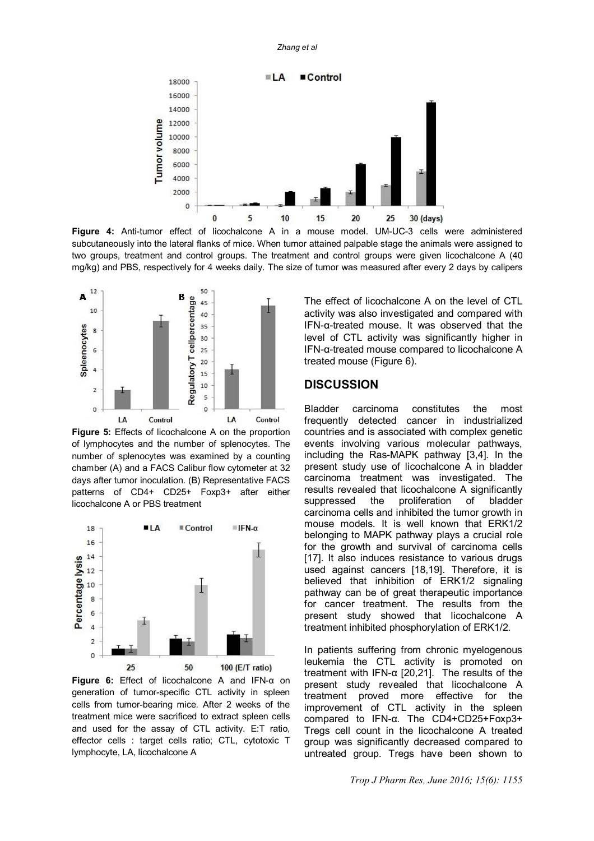

**Figure 4:** Anti-tumor effect of licochalcone A in a mouse model. UM-UC-3 cells were administered subcutaneously into the lateral flanks of mice. When tumor attained palpable stage the animals were assigned to two groups, treatment and control groups. The treatment and control groups were given licochalcone A (40 mg/kg) and PBS, respectively for 4 weeks daily. The size of tumor was measured after every 2 days by calipers



**Figure 5:** Effects of licochalcone A on the proportion of lymphocytes and the number of splenocytes. The number of splenocytes was examined by a counting chamber (A) and a FACS Calibur flow cytometer at 32 days after tumor inoculation. (B) Representative FACS patterns of CD4+ CD25+ Foxp3+ after either licochalcone A or PBS treatment



**Figure 6:** Effect of licochalcone A and IFN-α on generation of tumor-specific CTL activity in spleen cells from tumor-bearing mice. After 2 weeks of the treatment mice were sacrificed to extract spleen cells and used for the assay of CTL activity. E:T ratio, effector cells : target cells ratio; CTL, cytotoxic T lymphocyte, LA, licochalcone A

The effect of licochalcone A on the level of CTL activity was also investigated and compared with IFN-α-treated mouse. It was observed that the level of CTL activity was significantly higher in IFN-α-treated mouse compared to licochalcone A treated mouse (Figure 6).

## **DISCUSSION**

Bladder carcinoma constitutes the most frequently detected cancer in industrialized countries and is associated with complex genetic events involving various molecular pathways, including the Ras-MAPK pathway [3,4]. In the present study use of licochalcone A in bladder carcinoma treatment was investigated. The results revealed that licochalcone A significantly suppressed the proliferation of bladder carcinoma cells and inhibited the tumor growth in mouse models. It is well known that ERK1/2 belonging to MAPK pathway plays a crucial role for the growth and survival of carcinoma cells [17]. It also induces resistance to various drugs used against cancers [18,19]. Therefore, it is believed that inhibition of ERK1/2 signaling pathway can be of great therapeutic importance for cancer treatment. The results from the present study showed that licochalcone A treatment inhibited phosphorylation of ERK1/2.

In patients suffering from chronic myelogenous leukemia the CTL activity is promoted on treatment with IFN-α [20,21]. The results of the present study revealed that licochalcone A treatment proved more effective for the improvement of CTL activity in the spleen compared to IFN-α. The CD4+CD25+Foxp3+ Tregs cell count in the licochalcone A treated group was significantly decreased compared to untreated group. Tregs have been shown to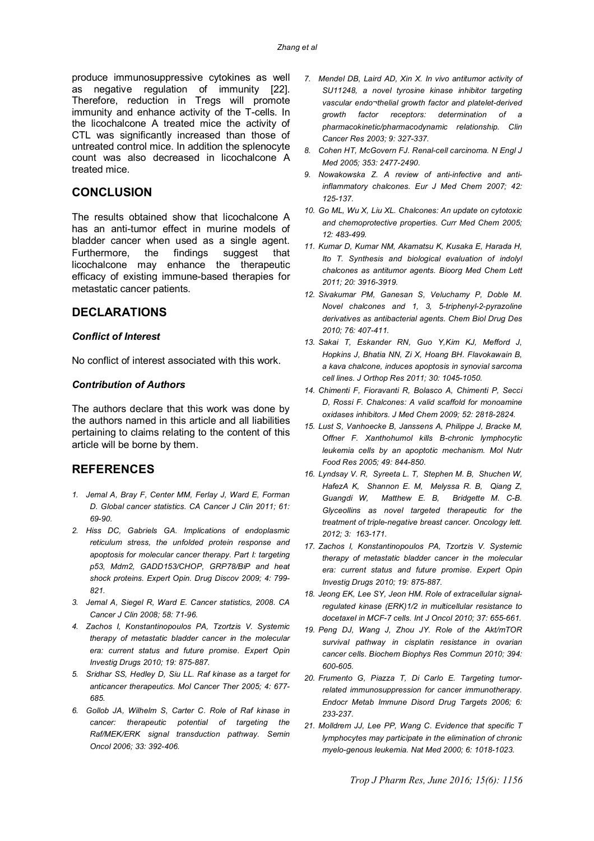produce immunosuppressive cytokines as well as negative regulation of immunity [22]. Therefore, reduction in Tregs will promote immunity and enhance activity of the T-cells. In the licochalcone A treated mice the activity of CTL was significantly increased than those of untreated control mice. In addition the splenocyte count was also decreased in licochalcone A treated mice.

## **CONCLUSION**

The results obtained show that licochalcone A has an anti-tumor effect in murine models of bladder cancer when used as a single agent. Furthermore, the findings suggest that licochalcone may enhance the therapeutic efficacy of existing immune-based therapies for metastatic cancer patients.

## **DECLARATIONS**

#### *Conflict of Interest*

No conflict of interest associated with this work.

#### *Contribution of Authors*

The authors declare that this work was done by the authors named in this article and all liabilities pertaining to claims relating to the content of this article will be borne by them.

## **REFERENCES**

- *1. Jemal A, Bray F, Center MM, Ferlay J, Ward E, Forman D. Global cancer statistics. CA Cancer J Clin 2011; 61: 69-90.*
- *2. Hiss DC, Gabriels GA. Implications of endoplasmic reticulum stress, the unfolded protein response and apoptosis for molecular cancer therapy. Part I: targeting p53, Mdm2, GADD153/CHOP, GRP78/BiP and heat shock proteins. Expert Opin. Drug Discov 2009; 4: 799- 821.*
- *3. Jemal A, Siegel R, Ward E. Cancer statistics, 2008. CA Cancer J Clin 2008; 58: 71-96.*
- *4. Zachos I, Konstantinopoulos PA, Tzortzis V. Systemic therapy of metastatic bladder cancer in the molecular era: current status and future promise. Expert Opin Investig Drugs 2010; 19: 875-887.*
- *5. Sridhar SS, Hedley D, Siu LL. Raf kinase as a target for anticancer therapeutics. Mol Cancer Ther 2005; 4: 677- 685.*
- *6. Gollob JA, Wilhelm S, Carter C. Role of Raf kinase in cancer: therapeutic potential of targeting the Raf/MEK/ERK signal transduction pathway. Semin Oncol 2006; 33: 392-406.*
- *7. Mendel DB, Laird AD, Xin X. In vivo antitumor activity of SU11248, a novel tyrosine kinase inhibitor targeting vascular endo¬thelial growth factor and platelet-derived growth factor receptors: determination of a pharmacokinetic/pharmacodynamic relationship. Clin Cancer Res 2003; 9: 327-337.*
- *8. Cohen HT, McGovern FJ. Renal-cell carcinoma. N Engl J Med 2005; 353: 2477-2490.*
- *9. Nowakowska Z. A review of anti-infective and antiinflammatory chalcones. Eur J Med Chem 2007; 42: 125-137.*
- *10. Go ML, Wu X, Liu XL. Chalcones: An update on cytotoxic and chemoprotective properties. Curr Med Chem 2005; 12: 483-499.*
- *11. Kumar D, Kumar NM, Akamatsu K, Kusaka E, Harada H, Ito T. Synthesis and biological evaluation of indolyl chalcones as antitumor agents. Bioorg Med Chem Lett 2011; 20: 3916-3919.*
- *12. Sivakumar PM, Ganesan S, Veluchamy P, Doble M. Novel chalcones and 1, 3, 5-triphenyl-2-pyrazoline derivatives as antibacterial agents. Chem Biol Drug Des 2010; 76: 407-411.*
- *13. Sakai T, Eskander RN, Guo Y,Kim KJ, Mefford J, Hopkins J, Bhatia NN, Zi X, Hoang BH. Flavokawain B, a kava chalcone, induces apoptosis in synovial sarcoma cell lines. J Orthop Res 2011; 30: 1045-1050.*
- *14. Chimenti F, Fioravanti R, Bolasco A, Chimenti P, Secci D, Rossi F. Chalcones: A valid scaffold for monoamine oxidases inhibitors. J Med Chem 2009; 52: 2818-2824.*
- *15. Lust S, Vanhoecke B, Janssens A, Philippe J, Bracke M, Offner F. Xanthohumol kills B-chronic lymphocytic leukemia cells by an apoptotic mechanism. Mol Nutr Food Res 2005; 49: 844-850.*
- *16. Lyndsay V. R, Syreeta L. T, Stephen M. B, Shuchen W, HafezA K, Shannon E. M, Melyssa R. B, Qiang Z, Guangdi W, Matthew E. B, Bridgette M. C-B. Glyceollins as novel targeted therapeutic for the treatment of triple-negative breast cancer. Oncology lett. 2012; 3: 163-171.*
- *17. Zachos I, Konstantinopoulos PA, Tzortzis V. Systemic therapy of metastatic bladder cancer in the molecular era: current status and future promise. Expert Opin Investig Drugs 2010; 19: 875-887.*
- *18. Jeong EK, Lee SY, Jeon HM. Role of extracellular signalregulated kinase (ERK)1/2 in multicellular resistance to docetaxel in MCF-7 cells. Int J Oncol 2010; 37: 655-661.*
- *19. Peng DJ, Wang J, Zhou JY. Role of the Akt/mTOR survival pathway in cisplatin resistance in ovarian cancer cells. Biochem Biophys Res Commun 2010; 394: 600-605.*
- *20. Frumento G, Piazza T, Di Carlo E. Targeting tumorrelated immunosuppression for cancer immunotherapy. Endocr Metab Immune Disord Drug Targets 2006; 6: 233-237.*
- *21. Molldrem JJ, Lee PP, Wang C. Evidence that specific T lymphocytes may participate in the elimination of chronic myelo-genous leukemia. Nat Med 2000; 6: 1018-1023.*